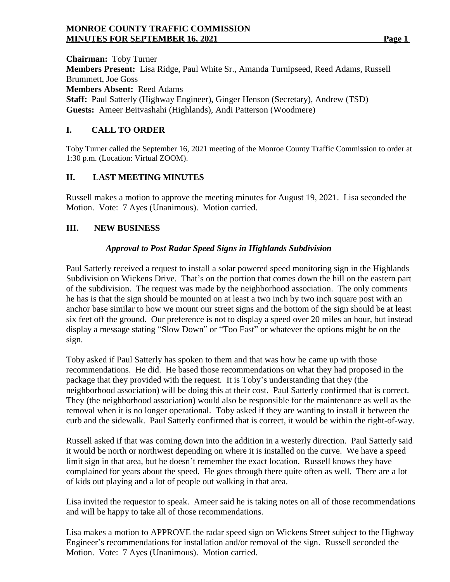### **MONROE COUNTY TRAFFIC COMMISSION MINUTES FOR SEPTEMBER 16, 2021** Page 1

**Chairman:** Toby Turner **Members Present:** Lisa Ridge, Paul White Sr., Amanda Turnipseed, Reed Adams, Russell Brummett, Joe Goss **Members Absent:** Reed Adams **Staff:** Paul Satterly (Highway Engineer), Ginger Henson (Secretary), Andrew (TSD) **Guests:** Ameer Beitvashahi (Highlands), Andi Patterson (Woodmere)

## **I. CALL TO ORDER**

Toby Turner called the September 16, 2021 meeting of the Monroe County Traffic Commission to order at 1:30 p.m. (Location: Virtual ZOOM).

## **II. LAST MEETING MINUTES**

Russell makes a motion to approve the meeting minutes for August 19, 2021. Lisa seconded the Motion. Vote: 7 Ayes (Unanimous). Motion carried.

## **III. NEW BUSINESS**

## *Approval to Post Radar Speed Signs in Highlands Subdivision*

Paul Satterly received a request to install a solar powered speed monitoring sign in the Highlands Subdivision on Wickens Drive. That's on the portion that comes down the hill on the eastern part of the subdivision. The request was made by the neighborhood association. The only comments he has is that the sign should be mounted on at least a two inch by two inch square post with an anchor base similar to how we mount our street signs and the bottom of the sign should be at least six feet off the ground. Our preference is not to display a speed over 20 miles an hour, but instead display a message stating "Slow Down" or "Too Fast" or whatever the options might be on the sign.

Toby asked if Paul Satterly has spoken to them and that was how he came up with those recommendations. He did. He based those recommendations on what they had proposed in the package that they provided with the request. It is Toby's understanding that they (the neighborhood association) will be doing this at their cost. Paul Satterly confirmed that is correct. They (the neighborhood association) would also be responsible for the maintenance as well as the removal when it is no longer operational. Toby asked if they are wanting to install it between the curb and the sidewalk. Paul Satterly confirmed that is correct, it would be within the right-of-way.

Russell asked if that was coming down into the addition in a westerly direction. Paul Satterly said it would be north or northwest depending on where it is installed on the curve. We have a speed limit sign in that area, but he doesn't remember the exact location. Russell knows they have complained for years about the speed. He goes through there quite often as well. There are a lot of kids out playing and a lot of people out walking in that area.

Lisa invited the requestor to speak. Ameer said he is taking notes on all of those recommendations and will be happy to take all of those recommendations.

Lisa makes a motion to APPROVE the radar speed sign on Wickens Street subject to the Highway Engineer's recommendations for installation and/or removal of the sign. Russell seconded the Motion. Vote: 7 Ayes (Unanimous). Motion carried.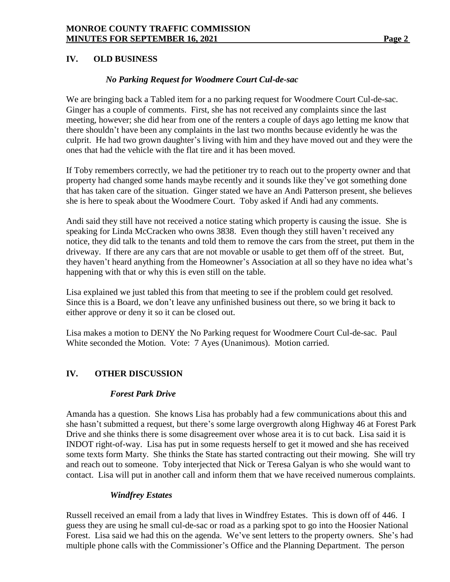## **IV. OLD BUSINESS**

#### *No Parking Request for Woodmere Court Cul-de-sac*

We are bringing back a Tabled item for a no parking request for Woodmere Court Cul-de-sac. Ginger has a couple of comments. First, she has not received any complaints since the last meeting, however; she did hear from one of the renters a couple of days ago letting me know that there shouldn't have been any complaints in the last two months because evidently he was the culprit. He had two grown daughter's living with him and they have moved out and they were the ones that had the vehicle with the flat tire and it has been moved.

If Toby remembers correctly, we had the petitioner try to reach out to the property owner and that property had changed some hands maybe recently and it sounds like they've got something done that has taken care of the situation. Ginger stated we have an Andi Patterson present, she believes she is here to speak about the Woodmere Court. Toby asked if Andi had any comments.

Andi said they still have not received a notice stating which property is causing the issue. She is speaking for Linda McCracken who owns 3838. Even though they still haven't received any notice, they did talk to the tenants and told them to remove the cars from the street, put them in the driveway. If there are any cars that are not movable or usable to get them off of the street. But, they haven't heard anything from the Homeowner's Association at all so they have no idea what's happening with that or why this is even still on the table.

Lisa explained we just tabled this from that meeting to see if the problem could get resolved. Since this is a Board, we don't leave any unfinished business out there, so we bring it back to either approve or deny it so it can be closed out.

Lisa makes a motion to DENY the No Parking request for Woodmere Court Cul-de-sac. Paul White seconded the Motion. Vote: 7 Ayes (Unanimous). Motion carried.

### **IV. OTHER DISCUSSION**

#### *Forest Park Drive*

Amanda has a question. She knows Lisa has probably had a few communications about this and she hasn't submitted a request, but there's some large overgrowth along Highway 46 at Forest Park Drive and she thinks there is some disagreement over whose area it is to cut back. Lisa said it is INDOT right-of-way. Lisa has put in some requests herself to get it mowed and she has received some texts form Marty. She thinks the State has started contracting out their mowing. She will try and reach out to someone. Toby interjected that Nick or Teresa Galyan is who she would want to contact. Lisa will put in another call and inform them that we have received numerous complaints.

### *Windfrey Estates*

Russell received an email from a lady that lives in Windfrey Estates. This is down off of 446. I guess they are using he small cul-de-sac or road as a parking spot to go into the Hoosier National Forest. Lisa said we had this on the agenda. We've sent letters to the property owners. She's had multiple phone calls with the Commissioner's Office and the Planning Department. The person